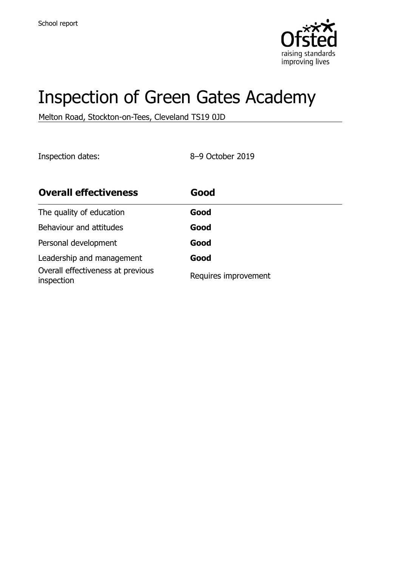

# Inspection of Green Gates Academy

Melton Road, Stockton-on-Tees, Cleveland TS19 0JD

Inspection dates: 8–9 October 2019

| <b>Overall effectiveness</b>                    | Good                 |
|-------------------------------------------------|----------------------|
| The quality of education                        | Good                 |
| Behaviour and attitudes                         | Good                 |
| Personal development                            | Good                 |
| Leadership and management                       | Good                 |
| Overall effectiveness at previous<br>inspection | Requires improvement |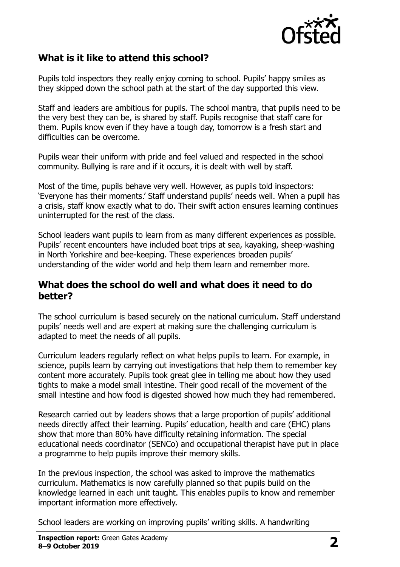

#### **What is it like to attend this school?**

Pupils told inspectors they really enjoy coming to school. Pupils' happy smiles as they skipped down the school path at the start of the day supported this view.

Staff and leaders are ambitious for pupils. The school mantra, that pupils need to be the very best they can be, is shared by staff. Pupils recognise that staff care for them. Pupils know even if they have a tough day, tomorrow is a fresh start and difficulties can be overcome.

Pupils wear their uniform with pride and feel valued and respected in the school community. Bullying is rare and if it occurs, it is dealt with well by staff.

Most of the time, pupils behave very well. However, as pupils told inspectors: 'Everyone has their moments.' Staff understand pupils' needs well. When a pupil has a crisis, staff know exactly what to do. Their swift action ensures learning continues uninterrupted for the rest of the class.

School leaders want pupils to learn from as many different experiences as possible. Pupils' recent encounters have included boat trips at sea, kayaking, sheep-washing in North Yorkshire and bee-keeping. These experiences broaden pupils' understanding of the wider world and help them learn and remember more.

#### **What does the school do well and what does it need to do better?**

The school curriculum is based securely on the national curriculum. Staff understand pupils' needs well and are expert at making sure the challenging curriculum is adapted to meet the needs of all pupils.

Curriculum leaders regularly reflect on what helps pupils to learn. For example, in science, pupils learn by carrying out investigations that help them to remember key content more accurately. Pupils took great glee in telling me about how they used tights to make a model small intestine. Their good recall of the movement of the small intestine and how food is digested showed how much they had remembered.

Research carried out by leaders shows that a large proportion of pupils' additional needs directly affect their learning. Pupils' education, health and care (EHC) plans show that more than 80% have difficulty retaining information. The special educational needs coordinator (SENCo) and occupational therapist have put in place a programme to help pupils improve their memory skills.

In the previous inspection, the school was asked to improve the mathematics curriculum. Mathematics is now carefully planned so that pupils build on the knowledge learned in each unit taught. This enables pupils to know and remember important information more effectively.

School leaders are working on improving pupils' writing skills. A handwriting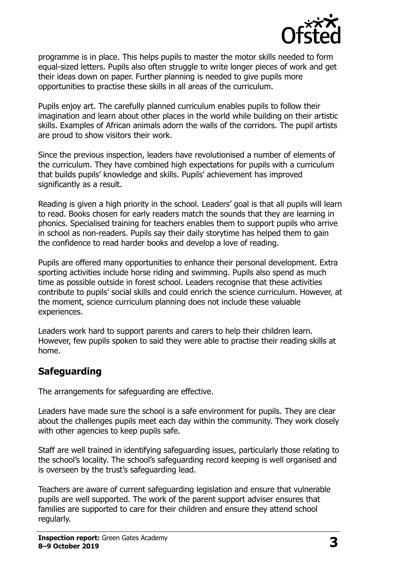

programme is in place. This helps pupils to master the motor skills needed to form equal-sized letters. Pupils also often struggle to write longer pieces of work and get their ideas down on paper. Further planning is needed to give pupils more opportunities to practise these skills in all areas of the curriculum.

Pupils enjoy art. The carefully planned curriculum enables pupils to follow their imagination and learn about other places in the world while building on their artistic skills. Examples of African animals adorn the walls of the corridors. The pupil artists are proud to show visitors their work.

Since the previous inspection, leaders have revolutionised a number of elements of the curriculum. They have combined high expectations for pupils with a curriculum that builds pupils' knowledge and skills. Pupils' achievement has improved significantly as a result.

Reading is given a high priority in the school. Leaders' goal is that all pupils will learn to read. Books chosen for early readers match the sounds that they are learning in phonics. Specialised training for teachers enables them to support pupils who arrive in school as non-readers. Pupils say their daily storytime has helped them to gain the confidence to read harder books and develop a love of reading.

Pupils are offered many opportunities to enhance their personal development. Extra sporting activities include horse riding and swimming. Pupils also spend as much time as possible outside in forest school. Leaders recognise that these activities contribute to pupils' social skills and could enrich the science curriculum. However, at the moment, science curriculum planning does not include these valuable experiences.

Leaders work hard to support parents and carers to help their children learn. However, few pupils spoken to said they were able to practise their reading skills at home.

# **Safeguarding**

The arrangements for safeguarding are effective.

Leaders have made sure the school is a safe environment for pupils. They are clear about the challenges pupils meet each day within the community. They work closely with other agencies to keep pupils safe.

Staff are well trained in identifying safeguarding issues, particularly those relating to the school's locality. The school's safeguarding record keeping is well organised and is overseen by the trust's safeguarding lead.

Teachers are aware of current safeguarding legislation and ensure that vulnerable pupils are well supported. The work of the parent support adviser ensures that families are supported to care for their children and ensure they attend school regularly.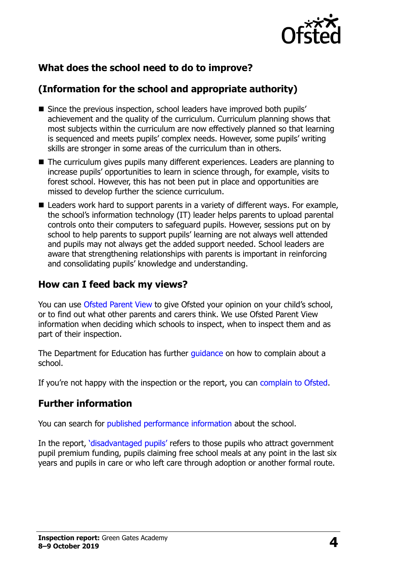

# **What does the school need to do to improve?**

# **(Information for the school and appropriate authority)**

- Since the previous inspection, school leaders have improved both pupils' achievement and the quality of the curriculum. Curriculum planning shows that most subjects within the curriculum are now effectively planned so that learning is sequenced and meets pupils' complex needs. However, some pupils' writing skills are stronger in some areas of the curriculum than in others.
- The curriculum gives pupils many different experiences. Leaders are planning to increase pupils' opportunities to learn in science through, for example, visits to forest school. However, this has not been put in place and opportunities are missed to develop further the science curriculum.
- Leaders work hard to support parents in a variety of different ways. For example, the school's information technology (IT) leader helps parents to upload parental controls onto their computers to safeguard pupils. However, sessions put on by school to help parents to support pupils' learning are not always well attended and pupils may not always get the added support needed. School leaders are aware that strengthening relationships with parents is important in reinforcing and consolidating pupils' knowledge and understanding.

#### **How can I feed back my views?**

You can use [Ofsted Parent View](http://parentview.ofsted.gov.uk/) to give Ofsted your opinion on your child's school, or to find out what other parents and carers think. We use Ofsted Parent View information when deciding which schools to inspect, when to inspect them and as part of their inspection.

The Department for Education has further quidance on how to complain about a school.

If you're not happy with the inspection or the report, you can [complain to Ofsted.](http://www.gov.uk/complain-ofsted-report)

#### **Further information**

You can search for [published performance information](http://www.compare-school-performance.service.gov.uk/) about the school.

In the report, '[disadvantaged pupils](http://www.gov.uk/guidance/pupil-premium-information-for-schools-and-alternative-provision-settings)' refers to those pupils who attract government pupil premium funding, pupils claiming free school meals at any point in the last six years and pupils in care or who left care through adoption or another formal route.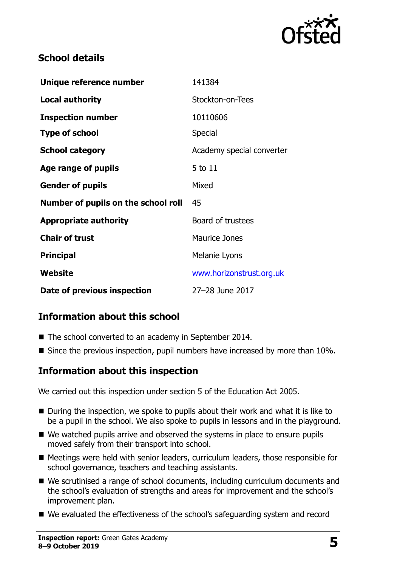

#### **School details**

| Unique reference number             | 141384                    |
|-------------------------------------|---------------------------|
| <b>Local authority</b>              | Stockton-on-Tees          |
| <b>Inspection number</b>            | 10110606                  |
| <b>Type of school</b>               | Special                   |
| <b>School category</b>              | Academy special converter |
| Age range of pupils                 | 5 to 11                   |
| <b>Gender of pupils</b>             | Mixed                     |
| Number of pupils on the school roll | 45                        |
| <b>Appropriate authority</b>        | Board of trustees         |
| <b>Chair of trust</b>               | <b>Maurice Jones</b>      |
| <b>Principal</b>                    | Melanie Lyons             |
| Website                             | www.horizonstrust.org.uk  |
| Date of previous inspection         | 27-28 June 2017           |

# **Information about this school**

- The school converted to an academy in September 2014.
- Since the previous inspection, pupil numbers have increased by more than 10%.

#### **Information about this inspection**

We carried out this inspection under section 5 of the Education Act 2005.

- $\blacksquare$  During the inspection, we spoke to pupils about their work and what it is like to be a pupil in the school. We also spoke to pupils in lessons and in the playground.
- We watched pupils arrive and observed the systems in place to ensure pupils moved safely from their transport into school.
- Meetings were held with senior leaders, curriculum leaders, those responsible for school governance, teachers and teaching assistants.
- We scrutinised a range of school documents, including curriculum documents and the school's evaluation of strengths and areas for improvement and the school's improvement plan.
- We evaluated the effectiveness of the school's safeguarding system and record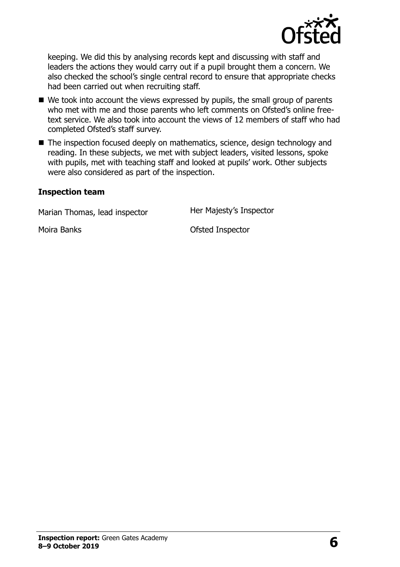

keeping. We did this by analysing records kept and discussing with staff and leaders the actions they would carry out if a pupil brought them a concern. We also checked the school's single central record to ensure that appropriate checks had been carried out when recruiting staff.

- We took into account the views expressed by pupils, the small group of parents who met with me and those parents who left comments on Ofsted's online freetext service. We also took into account the views of 12 members of staff who had completed Ofsted's staff survey.
- The inspection focused deeply on mathematics, science, design technology and reading. In these subjects, we met with subject leaders, visited lessons, spoke with pupils, met with teaching staff and looked at pupils' work. Other subjects were also considered as part of the inspection.

#### **Inspection team**

Marian Thomas, lead inspector **Her Majesty's Inspector** 

Moira Banks **Moira Banks Moira Banks Ofsted Inspector**